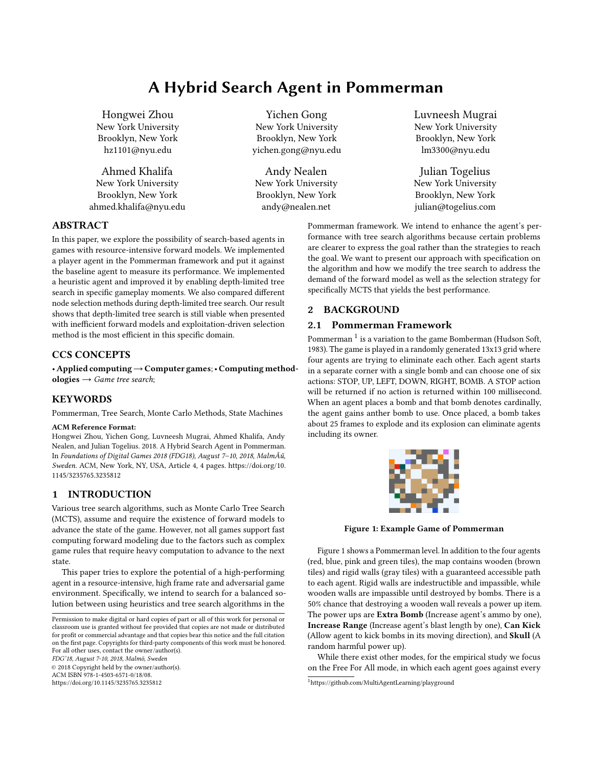# A Hybrid Search Agent in Pommerman

Hongwei Zhou New York University Brooklyn, New York hz1101@nyu.edu

Ahmed Khalifa New York University Brooklyn, New York ahmed.khalifa@nyu.edu

Yichen Gong New York University Brooklyn, New York yichen.gong@nyu.edu

Andy Nealen New York University Brooklyn, New York andy@nealen.net

Luvneesh Mugrai New York University Brooklyn, New York lm3300@nyu.edu

Julian Togelius New York University Brooklyn, New York julian@togelius.com

Pommerman framework. We intend to enhance the agent's performance with tree search algorithms because certain problems are clearer to express the goal rather than the strategies to reach the goal. We want to present our approach with specification on the algorithm and how we modify the tree search to address the demand of the forward model as well as the selection strategy for specifically MCTS that yields the best performance.

# 2 BACKGROUND

# 2.1 Pommerman Framework

Pommerman  $^1$  $^1$  is a variation to the game Bomberman (Hudson Soft, 1983). The game is played in a randomly generated 13x13 grid where four agents are trying to eliminate each other. Each agent starts in a separate corner with a single bomb and can choose one of six actions: STOP, UP, LEFT, DOWN, RIGHT, BOMB. A STOP action will be returned if no action is returned within 100 millisecond. When an agent places a bomb and that bomb denotes cardinally, the agent gains anther bomb to use. Once placed, a bomb takes about 25 frames to explode and its explosion can eliminate agents including its owner.

<span id="page-0-1"></span>

Figure 1: Example Game of Pommerman

Figure [1](#page-0-1) shows a Pommerman level. In addition to the four agents (red, blue, pink and green tiles), the map contains wooden (brown tiles) and rigid walls (gray tiles) with a guaranteed accessible path to each agent. Rigid walls are indestructible and impassible, while wooden walls are impassible until destroyed by bombs. There is a 50% chance that destroying a wooden wall reveals a power up item. The power ups are Extra Bomb (Increase agent's ammo by one), Increase Range (Increase agent's blast length by one), Can Kick (Allow agent to kick bombs in its moving direction), and Skull (A random harmful power up).

While there exist other modes, for the empirical study we focus on the Free For All mode, in which each agent goes against every

#### ABSTRACT

In this paper, we explore the possibility of search-based agents in games with resource-intensive forward models. We implemented a player agent in the Pommerman framework and put it against the baseline agent to measure its performance. We implemented a heuristic agent and improved it by enabling depth-limited tree search in specific gameplay moments. We also compared different node selection methods during depth-limited tree search. Our result shows that depth-limited tree search is still viable when presented with inefficient forward models and exploitation-driven selection method is the most efficient in this specific domain.

#### CCS CONCEPTS

• Applied computing→Computer games;• Computing methodologies  $\rightarrow$  Game tree search;

# **KEYWORDS**

Pommerman, Tree Search, Monte Carlo Methods, State Machines

### ACM Reference Format:

Hongwei Zhou, Yichen Gong, Luvneesh Mugrai, Ahmed Khalifa, Andy Nealen, and Julian Togelius. 2018. A Hybrid Search Agent in Pommerman. In Foundations of Digital Games 2018 (FDG18), August 7–10, 2018, MalmÃű, Sweden. ACM, New York, NY, USA, Article 4, [4](#page-3-0) pages. [https://doi.org/10.](https://doi.org/10.1145/3235765.3235812) [1145/3235765.3235812](https://doi.org/10.1145/3235765.3235812)

# 1 INTRODUCTION

Various tree search algorithms, such as Monte Carlo Tree Search (MCTS), assume and require the existence of forward models to advance the state of the game. However, not all games support fast computing forward modeling due to the factors such as complex game rules that require heavy computation to advance to the next state.

This paper tries to explore the potential of a high-performing agent in a resource-intensive, high frame rate and adversarial game environment. Specifically, we intend to search for a balanced solution between using heuristics and tree search algorithms in the

FDG'18, August 7-10, 2018, Malmö, Sweden

© 2018 Copyright held by the owner/author(s). ACM ISBN 978-1-4503-6571-0/18/08.

<https://doi.org/10.1145/3235765.3235812>

<span id="page-0-0"></span><sup>1</sup>https://github.com/MultiAgentLearning/playground

Permission to make digital or hard copies of part or all of this work for personal or classroom use is granted without fee provided that copies are not made or distributed for profit or commercial advantage and that copies bear this notice and the full citation on the first page. Copyrights for third-party components of this work must be honored. For all other uses, contact the owner/author(s).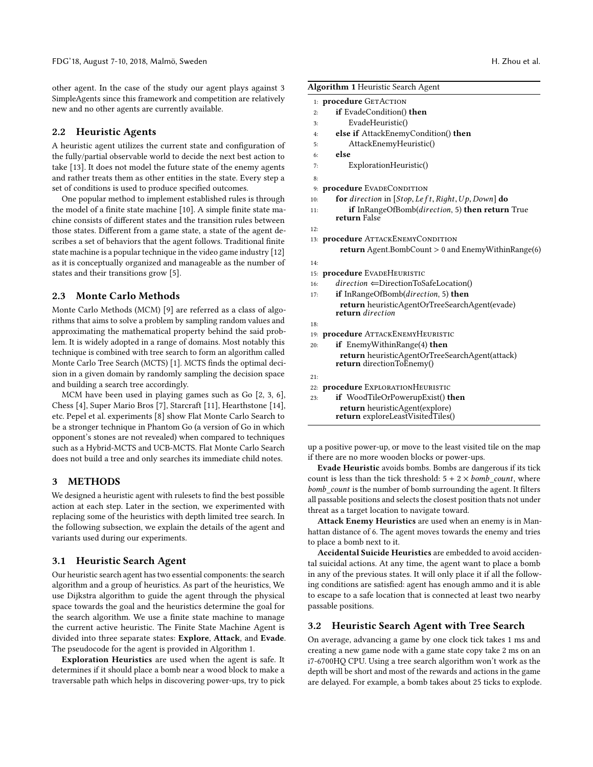other agent. In the case of the study our agent plays against 3 SimpleAgents since this framework and competition are relatively new and no other agents are currently available.

#### 2.2 Heuristic Agents

A heuristic agent utilizes the current state and configuration of the fully/partial observable world to decide the next best action to take [\[13\]](#page-3-1). It does not model the future state of the enemy agents and rather treats them as other entities in the state. Every step a set of conditions is used to produce specified outcomes.

One popular method to implement established rules is through the model of a finite state machine [\[10\]](#page-3-2). A simple finite state machine consists of different states and the transition rules between those states. Different from a game state, a state of the agent describes a set of behaviors that the agent follows. Traditional finite state machine is a popular technique in the video game industry [\[12\]](#page-3-3) as it is conceptually organized and manageable as the number of states and their transitions grow [\[5\]](#page-3-4).

#### 2.3 Monte Carlo Methods

Monte Carlo Methods (MCM) [\[9\]](#page-3-5) are referred as a class of algorithms that aims to solve a problem by sampling random values and approximating the mathematical property behind the said problem. It is widely adopted in a range of domains. Most notably this technique is combined with tree search to form an algorithm called Monte Carlo Tree Search (MCTS) [\[1\]](#page-3-6). MCTS finds the optimal decision in a given domain by randomly sampling the decision space and building a search tree accordingly.

MCM have been used in playing games such as Go [\[2,](#page-3-7) [3,](#page-3-8) [6\]](#page-3-9), Chess [\[4\]](#page-3-10), Super Mario Bros [\[7\]](#page-3-11), Starcraft [\[11\]](#page-3-12), Hearthstone [\[14\]](#page-3-13), etc. Pepel et al. experiments [\[8\]](#page-3-14) show Flat Monte Carlo Search to be a stronger technique in Phantom Go (a version of Go in which opponent's stones are not revealed) when compared to techniques such as a Hybrid-MCTS and UCB-MCTS. Flat Monte Carlo Search does not build a tree and only searches its immediate child notes.

# 3 METHODS

We designed a heuristic agent with rulesets to find the best possible action at each step. Later in the section, we experimented with replacing some of the heuristics with depth limited tree search. In the following subsection, we explain the details of the agent and variants used during our experiments.

#### 3.1 Heuristic Search Agent

Our heuristic search agent has two essential components: the search algorithm and a group of heuristics. As part of the heuristics, We use Dijkstra algorithm to guide the agent through the physical space towards the goal and the heuristics determine the goal for the search algorithm. We use a finite state machine to manage the current active heuristic. The Finite State Machine Agent is divided into three separate states: Explore, Attack, and Evade. The pseudocode for the agent is provided in Algorithm [1.](#page-1-0)

Exploration Heuristics are used when the agent is safe. It determines if it should place a bomb near a wood block to make a traversable path which helps in discovering power-ups, try to pick

<span id="page-1-0"></span>

|     | <b>Algorithm 1 Heuristic Search Agent</b>                                                 |
|-----|-------------------------------------------------------------------------------------------|
|     | 1: procedure GETACTION                                                                    |
| 2:  | <b>if</b> EvadeCondition() <b>then</b>                                                    |
| 3:  | EvadeHeuristic()                                                                          |
| 4:  | <b>else if</b> AttackEnemyCondition() <b>then</b>                                         |
| 5:  | AttackEnemyHeuristic()                                                                    |
| 6:  | else                                                                                      |
| 7:  | ExplorationHeuristic()                                                                    |
| 8:  |                                                                                           |
|     | 9: procedure EVADECONDITION                                                               |
| 10: | for direction in [Stop, Left, Right, Up, Down] do                                         |
| 11: | if InRangeOfBomb(direction, 5) then return True<br>return False                           |
| 12: |                                                                                           |
|     | 13: <b>procedure</b> ATTACKENEMYCONDITION                                                 |
|     | <b>return</b> Agent.BombCount $> 0$ and EnemyWithinRange(6)                               |
| 14: |                                                                                           |
|     | 15: procedure EVADEHEURISTIC                                                              |
| 16: | $direction \leftarrow DirectionToSafeLocation()$                                          |
| 17: | <b>if</b> InRangeOfBomb( <i>direction</i> , 5) <b>then</b>                                |
|     | <b>return</b> heuristicAgentOrTreeSearchAgent(evade)<br>return direction                  |
| 18: |                                                                                           |
|     | 19: <b>procedure</b> ATTACKENEMYHEURISTIC                                                 |
| 20: | <b>if</b> EnemyWithinRange(4) <b>then</b>                                                 |
|     | <b>return</b> heuristicAgentOrTreeSearchAgent(attack)<br><b>return</b> directionToEnemy() |
| 21: |                                                                                           |
|     | 22: procedure EXPLORATIONHEURISTIC                                                        |
| 23: | <b>if</b> WoodTileOrPowerupExist() <b>then</b>                                            |
|     | <b>return</b> heuristicAgent(explore)<br>return exploreLeastVisitedTiles()                |

up a positive power-up, or move to the least visited tile on the map if there are no more wooden blocks or power-ups.

Evade Heuristic avoids bombs. Bombs are dangerous if its tick count is less than the tick threshold:  $5 + 2 \times bomb$  count, where bomb\_count is the number of bomb surrounding the agent. It filters all passable positions and selects the closest position thats not under threat as a target location to navigate toward.

Attack Enemy Heuristics are used when an enemy is in Manhattan distance of 6. The agent moves towards the enemy and tries to place a bomb next to it.

Accidental Suicide Heuristics are embedded to avoid accidental suicidal actions. At any time, the agent want to place a bomb in any of the previous states. It will only place it if all the following conditions are satisfied: agent has enough ammo and it is able to escape to a safe location that is connected at least two nearby passable positions.

#### 3.2 Heuristic Search Agent with Tree Search

On average, advancing a game by one clock tick takes 1 ms and creating a new game node with a game state copy take 2 ms on an i7-6700HQ CPU. Using a tree search algorithm won't work as the depth will be short and most of the rewards and actions in the game are delayed. For example, a bomb takes about 25 ticks to explode.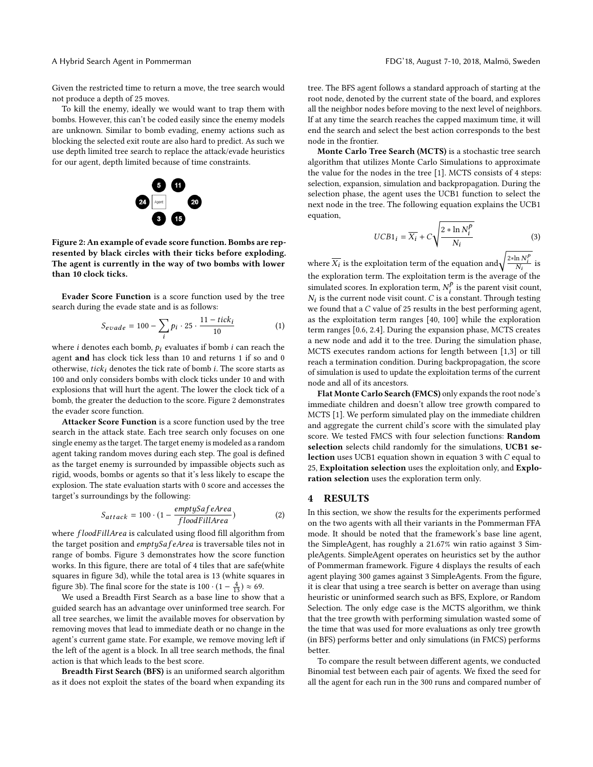Given the restricted time to return a move, the tree search would not produce a depth of 25 moves.

<span id="page-2-0"></span>To kill the enemy, ideally we would want to trap them with bombs. However, this can't be coded easily since the enemy models are unknown. Similar to bomb evading, enemy actions such as blocking the selected exit route are also hard to predict. As such we use depth limited tree search to replace the attack/evade heuristics for our agent, depth limited because of time constraints.



Figure 2: An example of evade score function. Bombs are represented by black circles with their ticks before exploding. The agent is currently in the way of two bombs with lower than 10 clock ticks.

Evader Score Function is a score function used by the tree search during the evade state and is as follows:

$$
S_{evade} = 100 - \sum_{i} p_i \cdot 25 \cdot \frac{11 - tick_i}{10}
$$
 (1)

where *i* denotes each bomb,  $p_i$  evaluates if bomb *i* can reach the agent and has clock tick less than 10 and gaturns 1 if so and 0. agent and has clock tick less than 10 and returns 1 if so and 0 otherwise, tick<sub>i</sub> denotes the tick rate of bomb i. The score starts as 100 and only considers bombs with clock ticks under 10 and with explosions that will hurt the agent. The lower the clock tick of a bomb, the greater the deduction to the score. Figure [2](#page-2-0) demonstrates the evader score function.

Attacker Score Function is a score function used by the tree search in the attack state. Each tree search only focuses on one single enemy as the target. The target enemy is modeled as a random agent taking random moves during each step. The goal is defined as the target enemy is surrounded by impassible objects such as rigid, woods, bombs or agents so that it's less likely to escape the explosion. The state evaluation starts with 0 score and accesses the target's surroundings by the following:

$$
S_{attack} = 100 \cdot (1 - \frac{emptySafeArea}{floatillArea}) \tag{2}
$$

where  $f$ loodFillArea is calculated using flood fill algorithm from<br>the target position and emptySafeArea is traversable tiles not in the target position and emptySafeArea is traversable tiles not in range of bombs. Figure [3](#page-3-15) demonstrates how the score function works. In this figure, there are total of 4 tiles that are safe(white squares in figure [3d\)](#page-3-15), while the total area is 13 (white squares in figure [3b\)](#page-3-15). The final score for the state is  $100 \cdot (1 - \frac{4}{13}) \approx 69$ .

We used a Breadth First Search as a base line to show that a guided search has an advantage over uninformed tree search. For all tree searches, we limit the available moves for observation by removing moves that lead to immediate death or no change in the agent's current game state. For example, we remove moving left if the left of the agent is a block. In all tree search methods, the final action is that which leads to the best score.

Breadth First Search (BFS) is an uniformed search algorithm as it does not exploit the states of the board when expanding its tree. The BFS agent follows a standard approach of starting at the root node, denoted by the current state of the board, and explores all the neighbor nodes before moving to the next level of neighbors. If at any time the search reaches the capped maximum time, it will end the search and select the best action corresponds to the best node in the frontier.

Monte Carlo Tree Search (MCTS) is a stochastic tree search algorithm that utilizes Monte Carlo Simulations to approximate the value for the nodes in the tree [\[1\]](#page-3-6). MCTS consists of 4 steps: selection, expansion, simulation and backpropagation. During the selection phase, the agent uses the UCB1 function to select the next node in the tree. The following equation explains the UCB1 equation,

<span id="page-2-1"></span>
$$
UCB1_i = \overline{X_i} + C\sqrt{\frac{2 * \ln N_i^p}{N_i}}
$$
 (3)

where  $\overline{X_i}$  is the exploitation term of the equation and  $\sqrt{\frac{2 * \ln N_i^p}{N_i}}$  is the exploration term. The exploitation term is the average of the simulated scores. In exploration term,  $N_t^p$  is the parent visit count,  $N_t$  is the current pode visit count,  $C$  is a constant. Through testing is the current node visit count. C is a constant. Through testing<br>found that a C value of 25 results in the best performing agent. we found that a C value of 25 results in the best performing agent,<br>as the exploitation term cances  $[40, 100]$  while the exploration as the exploitation term ranges [40, 100] while the exploration term ranges [0.6, 2.4]. During the expansion phase, MCTS creates a new node and add it to the tree. During the simulation phase, MCTS executes random actions for length between [1,3] or till reach a termination condition. During backpropagation, the score of simulation is used to update the exploitation terms of the current node and all of its ancestors.

Flat Monte Carlo Search (FMCS) only expands the root node's immediate children and doesn't allow tree growth compared to MCTS [\[1\]](#page-3-6). We perform simulated play on the immediate children and aggregate the current child's score with the simulated play score. We tested FMCS with four selection functions: Random selection selects child randomly for the simulations, UCB1 selection uses UCB1 equation shown in equation [3](#page-2-1) with C equal to 25, Exploitation selection uses the exploitation only, and Exploration selection uses the exploration term only.

#### 4 RESULTS

In this section, we show the results for the experiments performed on the two agents with all their variants in the Pommerman FFA mode. It should be noted that the framework's base line agent, the SimpleAgent, has roughly a 21.67% win ratio against 3 SimpleAgents. SimpleAgent operates on heuristics set by the author of Pommerman framework. Figure [4](#page-3-16) displays the results of each agent playing 300 games against 3 SimpleAgents. From the figure, it is clear that using a tree search is better on average than using heuristic or uninformed search such as BFS, Explore, or Random Selection. The only edge case is the MCTS algorithm, we think that the tree growth with performing simulation wasted some of the time that was used for more evaluations as only tree growth (in BFS) performs better and only simulations (in FMCS) performs better.

To compare the result between different agents, we conducted Binomial test between each pair of agents. We fixed the seed for all the agent for each run in the 300 runs and compared number of